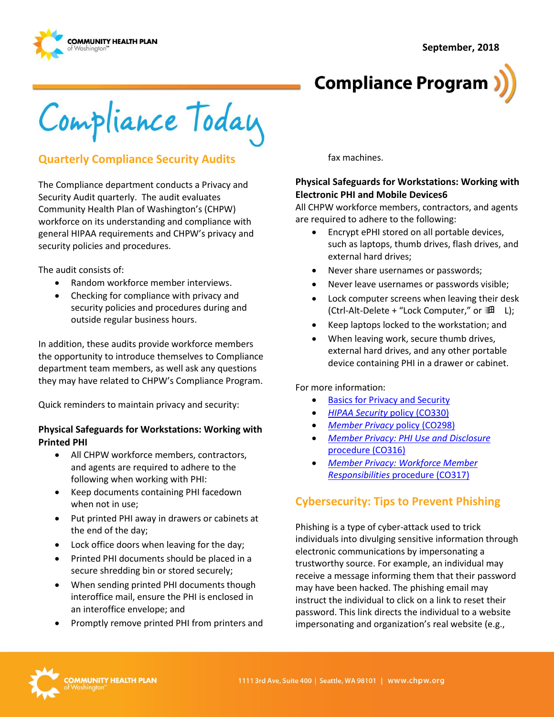**September, 2018**





Compliance Today

### **Quarterly Compliance Security Audits**

The Compliance department conducts a Privacy and Security Audit quarterly. The audit evaluates Community Health Plan of Washington's (CHPW) workforce on its understanding and compliance with general HIPAA requirements and CHPW's privacy and security policies and procedures.

The audit consists of:

- Random workforce member interviews.
- Checking for compliance with privacy and security policies and procedures during and outside regular business hours.

In addition, these audits provide workforce members the opportunity to introduce themselves to Compliance department team members, as well ask any questions they may have related to CHPW's Compliance Program.

Quick reminders to maintain privacy and security:

#### **Physical Safeguards for Workstations: Working with Printed PHI**

- All CHPW workforce members, contractors, and agents are required to adhere to the following when working with PHI:
- Keep documents containing PHI facedown when not in use;
- Put printed PHI away in drawers or cabinets at the end of the day;
- Lock office doors when leaving for the day;
- Printed PHI documents should be placed in a secure shredding bin or stored securely;
- When sending printed PHI documents though interoffice mail, ensure the PHI is enclosed in an interoffice envelope; and
- Promptly remove printed PHI from printers and

fax machines.

#### **Physical Safeguards for Workstations: Working with Electronic PHI and Mobile Devices6**

All CHPW workforce members, contractors, and agents are required to adhere to the following:

- Encrypt ePHI stored on all portable devices, such as laptops, thumb drives, flash drives, and external hard drives;
- Never share usernames or passwords;
- Never leave usernames or passwords visible;
- Lock computer screens when leaving their desk (Ctrl-Alt-Delete + "Lock Computer," or  $\mathbb{H}$  L);
- Keep laptops locked to the workstation; and
- When leaving work, secure thumb drives, external hard drives, and any other portable device containing PHI in a drawer or cabinet.

For more information:

- [Basics for Privacy and Security](http://chpsp/Comp/Basics%20for%20Privacy%20and%20Security/Home.aspx)
- *[HIPAA Security](http://chpsp/PP/Compliance/HIPAA%20Security%20Policy%20-%20CO330.pdf)* policy (CO330)
- *[Member Privacy](http://chpsp/PP/Compliance/Member%20Privacy%20Policy%20-%20CO298.pdf)* policy (CO298)
- *[Member Privacy: PHI Use and Disclosure](http://chpsp/PP/Compliance/Member%20Privacy-PHI%20Use%20and%20Disclosure%20Procedure%20-%20CO316.pdf)*  [procedure \(CO316\)](http://chpsp/PP/Compliance/Member%20Privacy-PHI%20Use%20and%20Disclosure%20Procedure%20-%20CO316.pdf)
- *[Member Privacy: Workforce Member](http://chpsp/PP/Compliance/Member%20Privacy-Workforce%20Member%20Responsibilities%20Procedure%20-%20CO317.pdf)  Responsibilities* [procedure \(CO317\)](http://chpsp/PP/Compliance/Member%20Privacy-Workforce%20Member%20Responsibilities%20Procedure%20-%20CO317.pdf)

# **Cybersecurity: Tips to Prevent Phishing**

Phishing is a type of cyber-attack used to trick individuals into divulging sensitive information through electronic communications by impersonating a trustworthy source. For example, an individual may receive a message informing them that their password may have been hacked. The phishing email may instruct the individual to click on a link to reset their password. This link directs the individual to a website impersonating and organization's real website (e.g.,

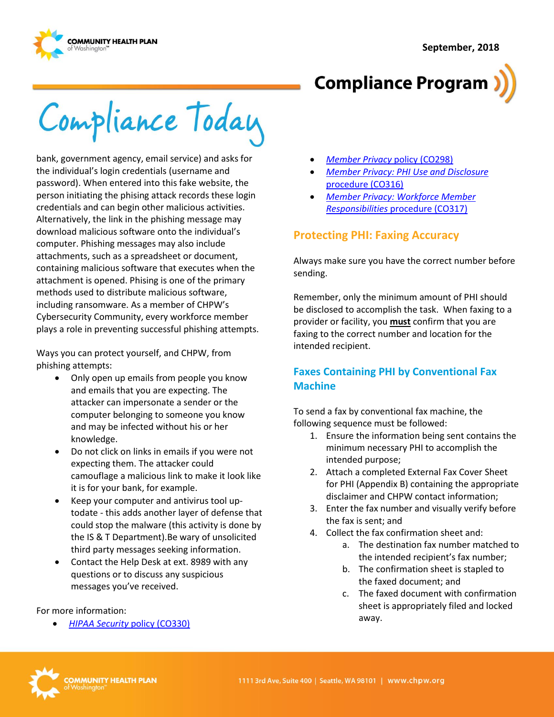

**Compliance Program** 

Compliance Today

bank, government agency, email service) and asks for the individual's login credentials (username and password). When entered into this fake website, the person initiating the phising attack records these login credentials and can begin other malicious activities. Alternatively, the link in the phishing message may download malicious software onto the individual's computer. Phishing messages may also include attachments, such as a spreadsheet or document, containing malicious software that executes when the attachment is opened. Phising is one of the primary methods used to distribute malicious software, including ransomware. As a member of CHPW's Cybersecurity Community, every workforce member plays a role in preventing successful phishing attempts.

Ways you can protect yourself, and CHPW, from phishing attempts:

- Only open up emails from people you know and emails that you are expecting. The attacker can impersonate a sender or the computer belonging to someone you know and may be infected without his or her knowledge.
- Do not click on links in emails if you were not expecting them. The attacker could camouflage a malicious link to make it look like it is for your bank, for example.
- Keep your computer and antivirus tool uptodate - this adds another layer of defense that could stop the malware (this activity is done by the IS & T Department).Be wary of unsolicited third party messages seeking information.
- Contact the Help Desk at ext. 8989 with any questions or to discuss any suspicious messages you've received.

#### For more information:

*[HIPAA Security](http://chpsp/PP/Compliance/HIPAA%20Security%20Policy%20-%20CO330.pdf)* policy (CO330)

- *[Member Privacy](http://chpsp/PP/Compliance/Member%20Privacy%20Policy%20-%20CO298.pdf)* policy (CO298)
- *[Member Privacy: PHI Use and Disclosure](http://chpsp/PP/Compliance/Member%20Privacy-PHI%20Use%20and%20Disclosure%20Procedure%20-%20CO316.pdf)*  [procedure \(CO316\)](http://chpsp/PP/Compliance/Member%20Privacy-PHI%20Use%20and%20Disclosure%20Procedure%20-%20CO316.pdf)
- *[Member Privacy: Workforce Member](http://chpsp/PP/Compliance/Member%20Privacy-Workforce%20Member%20Responsibilities%20Procedure%20-%20CO317.pdf)  Responsibilities* [procedure \(CO317\)](http://chpsp/PP/Compliance/Member%20Privacy-Workforce%20Member%20Responsibilities%20Procedure%20-%20CO317.pdf)

# **Protecting PHI: Faxing Accuracy**

Always make sure you have the correct number before sending.

Remember, only the minimum amount of PHI should be disclosed to accomplish the task. When faxing to a provider or facility, you **must** confirm that you are faxing to the correct number and location for the intended recipient.

### **Faxes Containing PHI by Conventional Fax Machine**

To send a fax by conventional fax machine, the following sequence must be followed:

- 1. Ensure the information being sent contains the minimum necessary PHI to accomplish the intended purpose;
- 2. Attach a completed External Fax Cover Sheet for PHI (Appendix B) containing the appropriate disclaimer and CHPW contact information;
- 3. Enter the fax number and visually verify before the fax is sent; and
- 4. Collect the fax confirmation sheet and:
	- a. The destination fax number matched to the intended recipient's fax number;
	- b. The confirmation sheet is stapled to the faxed document; and
	- c. The faxed document with confirmation sheet is appropriately filed and locked away.

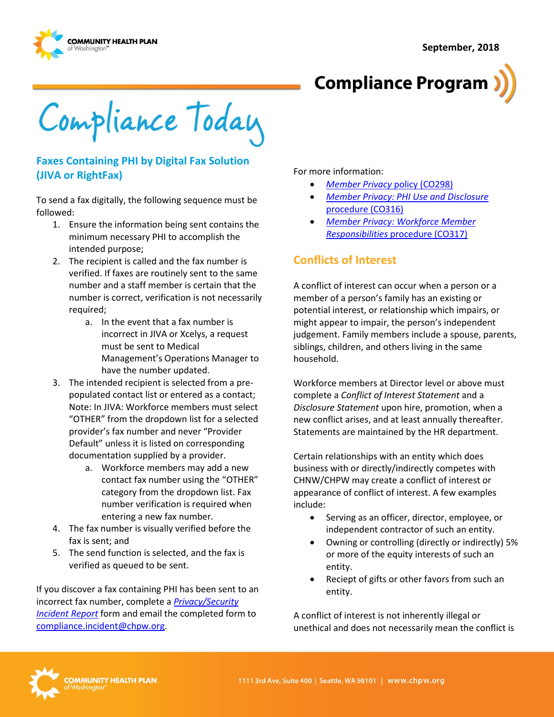



Compliance Today

#### **Faxes Containing PHI by Digital Fax Solution (JIVA or RightFax)**

To send a fax digitally, the following sequence must be followed:

- 1. Ensure the information being sent contains the minimum necessary PHI to accomplish the intended purpose;
- 2. The recipient is called and the fax number is verified. If faxes are routinely sent to the same number and a staff member is certain that the number is correct, verification is not necessarily required;
	- a. In the event that a fax number is incorrect in JIVA or Xcelys, a request must be sent to Medical Management's Operations Manager to have the number updated.
- 3. The intended recipient is selected from a prepopulated contact list or entered as a contact; Note: In JIVA: Workforce members must select "OTHER" from the dropdown list for a selected provider's fax number and never "Provider Default" unless it is listed on corresponding documentation supplied by a provider.
	- a. Workforce members may add a new contact fax number using the "OTHER" category from the dropdown list. Fax number verification is required when entering a new fax number.
- 4. The fax number is visually verified before the fax is sent; and
- 5. The send function is selected, and the fax is verified as queued to be sent.

If you discover a fax containing PHI has been sent to an incorrect fax number, complete a *[Privacy/Security](http://chpsp/Comp/Compliance%20Forms/Internal%20Privacy%20Incident%20Report%20Form.docx) [Incident Report](http://chpsp/Comp/Compliance%20Forms/Internal%20Privacy%20Incident%20Report%20Form.docx)* form and email the completed form to [compliance.incident@chpw.org.](mailto:compliance.incident@chpw.org)

For more information:

- *[Member Privacy](http://chpsp/PP/Compliance/Member%20Privacy%20Policy%20-%20CO298.pdf)* policy (CO298)
- *[Member Privacy: PHI Use and Disclosure](http://chpsp/PP/Compliance/Member%20Privacy-PHI%20Use%20and%20Disclosure%20Procedure%20-%20CO316.pdf)*  [procedure \(CO316\)](http://chpsp/PP/Compliance/Member%20Privacy-PHI%20Use%20and%20Disclosure%20Procedure%20-%20CO316.pdf)
- *[Member Privacy: Workforce Member](http://chpsp/PP/Compliance/Member%20Privacy-Workforce%20Member%20Responsibilities%20Procedure%20-%20CO317.pdf)  Responsibilities* [procedure \(CO317\)](http://chpsp/PP/Compliance/Member%20Privacy-Workforce%20Member%20Responsibilities%20Procedure%20-%20CO317.pdf)

# **Conflicts of Interest**

A conflict of interest can occur when a person or a member of a person's family has an existing or potential interest, or relationship which impairs, or might appear to impair, the person's independent judgement. Family members include a spouse, parents, siblings, children, and others living in the same household.

Workforce members at Director level or above must complete a *Conflict of Interest Statement* and a *Disclosure Statement* upon hire, promotion, when a new conflict arises, and at least annually thereafter. Statements are maintained by the HR department.

Certain relationships with an entity which does business with or directly/indirectly competes with CHNW/CHPW may create a conflict of interest or appearance of conflict of interest. A few examples include:

- Serving as an officer, director, employee, or independent contractor of such an entity.
- Owning or controlling (directly or indirectly) 5% or more of the equity interests of such an entity.
- Reciept of gifts or other favors from such an entity.

A conflict of interest is not inherently illegal or unethical and does not necessarily mean the conflict is

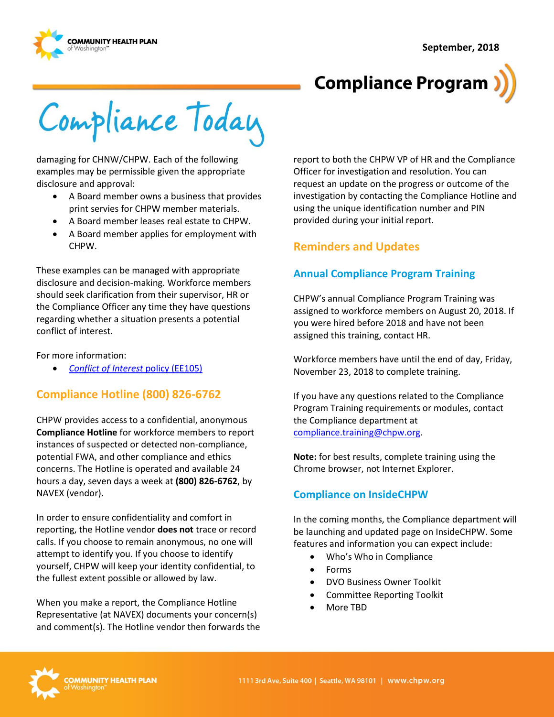**September, 2018**





Compliance Today

damaging for CHNW/CHPW. Each of the following examples may be permissible given the appropriate disclosure and approval:

- A Board member owns a business that provides print servies for CHPW member materials.
- A Board member leases real estate to CHPW.
- A Board member applies for employment with CHPW.

These examples can be managed with appropriate disclosure and decision-making. Workforce members should seek clarification from their supervisor, HR or the Compliance Officer any time they have questions regarding whether a situation presents a potential conflict of interest.

For more information:

*[Conflict of Interest](http://chpsp/PP/Human%20Resources%20Employee%20PPs/Conflict%20of%20Interest%20Policy%20-%20EE105.pdf)* policy (EE105)

# **Compliance Hotline (800) 826-6762**

CHPW provides access to a confidential, anonymous **Compliance Hotline** for workforce members to report instances of suspected or detected non-compliance, potential FWA, and other compliance and ethics concerns. The Hotline is operated and available 24 hours a day, seven days a week at **(800) 826-6762**, by NAVEX (vendor)**.**

In order to ensure confidentiality and comfort in reporting, the Hotline vendor **does not** trace or record calls. If you choose to remain anonymous, no one will attempt to identify you. If you choose to identify yourself, CHPW will keep your identity confidential, to the fullest extent possible or allowed by law.

When you make a report, the Compliance Hotline Representative (at NAVEX) documents your concern(s) and comment(s). The Hotline vendor then forwards the report to both the CHPW VP of HR and the Compliance Officer for investigation and resolution. You can request an update on the progress or outcome of the investigation by contacting the Compliance Hotline and using the unique identification number and PIN provided during your initial report.

# **Reminders and Updates**

#### **Annual Compliance Program Training**

CHPW's annual Compliance Program Training was assigned to workforce members on August 20, 2018. If you were hired before 2018 and have not been assigned this training, contact HR.

Workforce members have until the end of day, Friday, November 23, 2018 to complete training.

If you have any questions related to the Compliance Program Training requirements or modules, contact the Compliance department at [compliance.training@chpw.org.](mailto:compliance.training@chpw.org)

**Note:** for best results, complete training using the Chrome browser, not Internet Explorer.

#### **Compliance on InsideCHPW**

In the coming months, the Compliance department will be launching and updated page on InsideCHPW. Some features and information you can expect include:

- Who's Who in Compliance
- Forms
- DVO Business Owner Toolkit
- Committee Reporting Toolkit
- More TBD